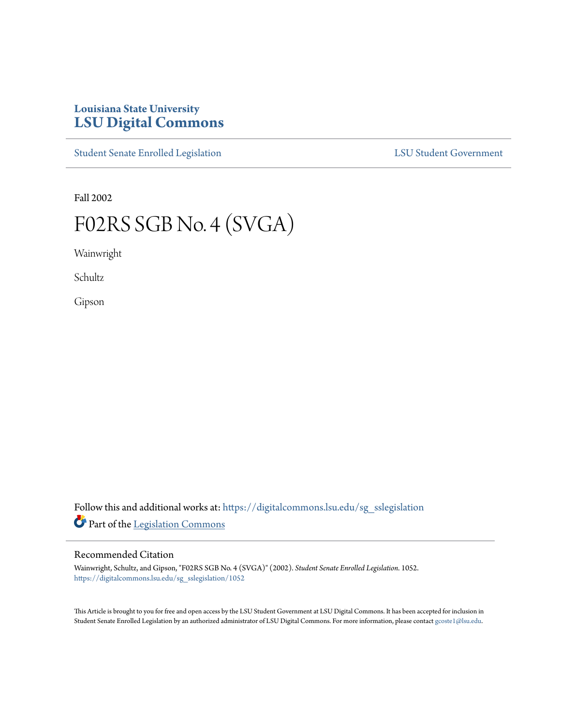# **Louisiana State University [LSU Digital Commons](https://digitalcommons.lsu.edu?utm_source=digitalcommons.lsu.edu%2Fsg_sslegislation%2F1052&utm_medium=PDF&utm_campaign=PDFCoverPages)**

[Student Senate Enrolled Legislation](https://digitalcommons.lsu.edu/sg_sslegislation?utm_source=digitalcommons.lsu.edu%2Fsg_sslegislation%2F1052&utm_medium=PDF&utm_campaign=PDFCoverPages) [LSU Student Government](https://digitalcommons.lsu.edu/sg?utm_source=digitalcommons.lsu.edu%2Fsg_sslegislation%2F1052&utm_medium=PDF&utm_campaign=PDFCoverPages)

Fall 2002

# F02RS SGB No. 4 (SVGA)

Wainwright

Schultz

Gipson

Follow this and additional works at: [https://digitalcommons.lsu.edu/sg\\_sslegislation](https://digitalcommons.lsu.edu/sg_sslegislation?utm_source=digitalcommons.lsu.edu%2Fsg_sslegislation%2F1052&utm_medium=PDF&utm_campaign=PDFCoverPages) Part of the [Legislation Commons](http://network.bepress.com/hgg/discipline/859?utm_source=digitalcommons.lsu.edu%2Fsg_sslegislation%2F1052&utm_medium=PDF&utm_campaign=PDFCoverPages)

#### Recommended Citation

Wainwright, Schultz, and Gipson, "F02RS SGB No. 4 (SVGA)" (2002). *Student Senate Enrolled Legislation*. 1052. [https://digitalcommons.lsu.edu/sg\\_sslegislation/1052](https://digitalcommons.lsu.edu/sg_sslegislation/1052?utm_source=digitalcommons.lsu.edu%2Fsg_sslegislation%2F1052&utm_medium=PDF&utm_campaign=PDFCoverPages)

This Article is brought to you for free and open access by the LSU Student Government at LSU Digital Commons. It has been accepted for inclusion in Student Senate Enrolled Legislation by an authorized administrator of LSU Digital Commons. For more information, please contact [gcoste1@lsu.edu.](mailto:gcoste1@lsu.edu)